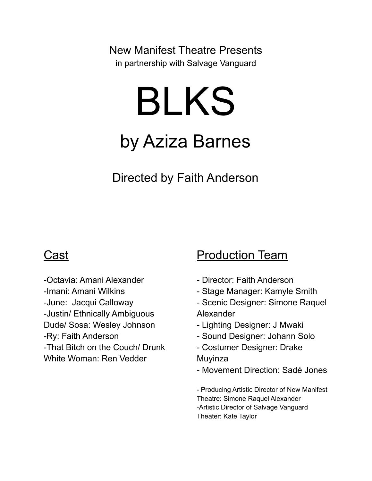New Manifest Theatre Presents in partnership with Salvage Vanguard

# BLKS

# by Aziza Barnes

Directed by Faith Anderson

## **Cast**

-Octavia: Amani Alexander -Imani: Amani Wilkins -June: Jacqui Calloway -Justin/ Ethnically Ambiguous Dude/ Sosa: Wesley Johnson -Ry: Faith Anderson -That Bitch on the Couch/ Drunk White Woman: Ren Vedder

### **Production Team**

- Director: Faith Anderson
- Stage Manager: Kamyle Smith
- Scenic Designer: Simone Raquel Alexander
- Lighting Designer: J Mwaki
- Sound Designer: Johann Solo
- Costumer Designer: Drake Muyinza
- Movement Direction: Sadé Jones

- Producing Artistic Director of New Manifest Theatre: Simone Raquel Alexander -Artistic Director of Salvage Vanguard Theater: Kate Taylor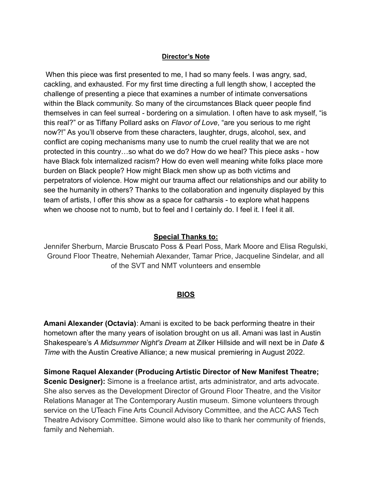#### **Director's Note**

When this piece was first presented to me, I had so many feels. I was angry, sad, cackling, and exhausted. For my first time directing a full length show, I accepted the challenge of presenting a piece that examines a number of intimate conversations within the Black community. So many of the circumstances Black queer people find themselves in can feel surreal - bordering on a simulation. I often have to ask myself, "is this real?" or as Tiffany Pollard asks on *Flavor of Love*, "are you serious to me right now?!" As you'll observe from these characters, laughter, drugs, alcohol, sex, and conflict are coping mechanisms many use to numb the cruel reality that we are not protected in this country…so what do we do? How do we heal? This piece asks - how have Black folx internalized racism? How do even well meaning white folks place more burden on Black people? How might Black men show up as both victims and perpetrators of violence. How might our trauma affect our relationships and our ability to see the humanity in others? Thanks to the collaboration and ingenuity displayed by this team of artists, I offer this show as a space for catharsis - to explore what happens when we choose not to numb, but to feel and I certainly do. I feel it. I feel it all.

#### **Special Thanks to:**

Jennifer Sherburn, Marcie Bruscato Poss & Pearl Poss, Mark Moore and Elisa Regulski, Ground Floor Theatre, Nehemiah Alexander, Tamar Price, Jacqueline Sindelar, and all of the SVT and NMT volunteers and ensemble

#### **BIOS**

**Amani Alexander (Octavia)**: Amani is excited to be back performing theatre in their hometown after the many years of isolation brought on us all. Amani was last in Austin Shakespeare's *A Midsummer Night's Dream* at Zilker Hillside and will next be in *Date & Time* with the Austin Creative Alliance; a new musical premiering in August 2022.

**Simone Raquel Alexander (Producing Artistic Director of New Manifest Theatre; Scenic Designer):** Simone is a freelance artist, arts administrator, and arts advocate. She also serves as the Development Director of Ground Floor Theatre, and the Visitor Relations Manager at The Contemporary Austin museum. Simone volunteers through service on the UTeach Fine Arts Council Advisory Committee, and the ACC AAS Tech Theatre Advisory Committee. Simone would also like to thank her community of friends, family and Nehemiah.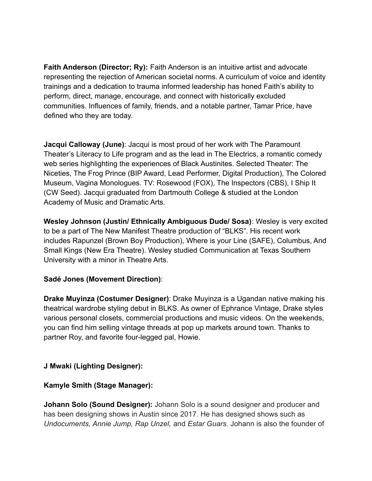**Faith Anderson (Director; Ry):** Faith Anderson is an intuitive artist and advocate representing the rejection of American societal norms. A curriculum of voice and identity trainings and a dedication to trauma informed leadership has honed Faith's ability to perform, direct, manage, encourage, and connect with historically excluded communities. Influences of family, friends, and a notable partner, Tamar Price, have defined who they are today.

**Jacqui Calloway (June)**: Jacqui is most proud of her work with The Paramount Theater's Literacy to Life program and as the lead in The Electrics, a romantic comedy web series highlighting the experiences of Black Austinites. Selected Theater: The Niceties, The Frog Prince (BIP Award, Lead Performer, Digital Production), The Colored Museum, Vagina Monologues. TV: Rosewood (FOX), The Inspectors (CBS), I Ship It (CW Seed). Jacqui graduated from Dartmouth College & studied at the London Academy of Music and Dramatic Arts.

**Wesley Johnson (Justin/ Ethnically Ambiguous Dude/ Sosa)**: Wesley is very excited to be a part of The New Manifest Theatre production of "BLKS". His recent work includes Rapunzel (Brown Boy Production), Where is your Line (SAFE), Columbus, And Small Kings (New Era Theatre). Wesley studied Communication at Texas Southern University with a minor in Theatre Arts.

#### **Sadé Jones (Movement Direction)**:

**Drake Muyinza (Costumer Designer)**: Drake Muyinza is a Ugandan native making his theatrical wardrobe styling debut in BLKS. As owner of Ephrance Vintage, Drake styles various personal closets, commercial productions and music videos. On the weekends, you can find him selling vintage threads at pop up markets around town. Thanks to partner Roy, and favorite four-legged pal, Howie.

#### **J Mwaki (Lighting Designer):**

#### **Kamyle Smith (Stage Manager):**

**Johann Solo (Sound Designer):** Johann Solo is a sound designer and producer and has been designing shows in Austin since 2017. He has designed shows such as *Undocuments, Annie Jump, Rap Unzel,* and *Estar Guars.* Johann is also the founder of